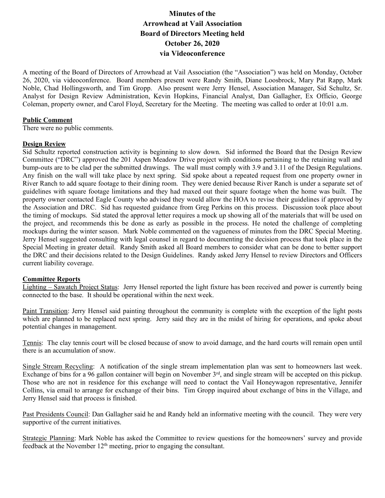# **Minutes of the Arrowhead at Vail Association Board of Directors Meeting held October 26, 2020 via Videoconference**

A meeting of the Board of Directors of Arrowhead at Vail Association (the "Association") was held on Monday, October 26, 2020, via videoconference. Board members present were Randy Smith, Diane Loosbrock, Mary Pat Rapp, Mark Noble, Chad Hollingsworth, and Tim Gropp. Also present were Jerry Hensel, Association Manager, Sid Schultz, Sr. Analyst for Design Review Administration, Kevin Hopkins, Financial Analyst, Dan Gallagher, Ex Officio, George Coleman, property owner, and Carol Floyd, Secretary for the Meeting. The meeting was called to order at 10:01 a.m.

## **Public Comment**

There were no public comments.

## **Design Review**

Sid Schultz reported construction activity is beginning to slow down. Sid informed the Board that the Design Review Committee ("DRC") approved the 201 Aspen Meadow Drive project with conditions pertaining to the retaining wall and bump-outs are to be clad per the submitted drawings. The wall must comply with 3.9 and 3.11 of the Design Regulations. Any finish on the wall will take place by next spring. Sid spoke about a repeated request from one property owner in River Ranch to add square footage to their dining room. They were denied because River Ranch is under a separate set of guidelines with square footage limitations and they had maxed out their square footage when the home was built. The property owner contacted Eagle County who advised they would allow the HOA to revise their guidelines if approved by the Association and DRC. Sid has requested guidance from Greg Perkins on this process. Discussion took place about the timing of mockups. Sid stated the approval letter requires a mock up showing all of the materials that will be used on the project, and recommends this be done as early as possible in the process. He noted the challenge of completing mockups during the winter season. Mark Noble commented on the vagueness of minutes from the DRC Special Meeting. Jerry Hensel suggested consulting with legal counsel in regard to documenting the decision process that took place in the Special Meeting in greater detail. Randy Smith asked all Board members to consider what can be done to better support the DRC and their decisions related to the Design Guidelines. Randy asked Jerry Hensel to review Directors and Officers current liability coverage.

# **Committee Reports**

Lighting – Sawatch Project Status: Jerry Hensel reported the light fixture has been received and power is currently being connected to the base. It should be operational within the next week.

Paint Transition: Jerry Hensel said painting throughout the community is complete with the exception of the light posts which are planned to be replaced next spring. Jerry said they are in the midst of hiring for operations, and spoke about potential changes in management.

Tennis: The clay tennis court will be closed because of snow to avoid damage, and the hard courts will remain open until there is an accumulation of snow.

Single Stream Recycling: A notification of the single stream implementation plan was sent to homeowners last week. Exchange of bins for a 96 gallon container will begin on November 3<sup>rd</sup>, and single stream will be accepted on this pickup. Those who are not in residence for this exchange will need to contact the Vail Honeywagon representative, Jennifer Collins, via email to arrange for exchange of their bins. Tim Gropp inquired about exchange of bins in the Village, and Jerry Hensel said that process is finished.

Past Presidents Council: Dan Gallagher said he and Randy held an informative meeting with the council. They were very supportive of the current initiatives.

Strategic Planning: Mark Noble has asked the Committee to review questions for the homeowners' survey and provide feedback at the November  $12<sup>th</sup>$  meeting, prior to engaging the consultant.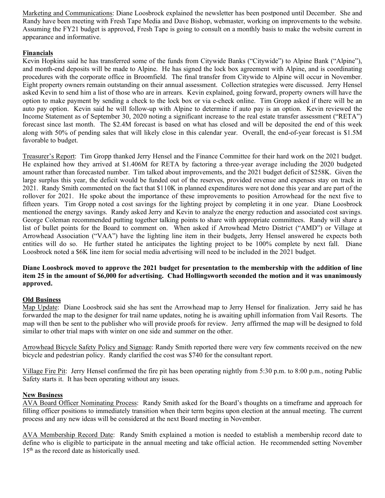Marketing and Communications: Diane Loosbrock explained the newsletter has been postponed until December. She and Randy have been meeting with Fresh Tape Media and Dave Bishop, webmaster, working on improvements to the website. Assuming the FY21 budget is approved, Fresh Tape is going to consult on a monthly basis to make the website current in appearance and informative.

# **Financials**

Kevin Hopkins said he has transferred some of the funds from Citywide Banks ("Citywide") to Alpine Bank ("Alpine"), and month-end deposits will be made to Alpine. He has signed the lock box agreement with Alpine, and is coordinating procedures with the corporate office in Broomfield. The final transfer from Citywide to Alpine will occur in November. Eight property owners remain outstanding on their annual assessment. Collection strategies were discussed. Jerry Hensel asked Kevin to send him a list of those who are in arrears. Kevin explained, going forward, property owners will have the option to make payment by sending a check to the lock box or via e-check online. Tim Gropp asked if there will be an auto pay option. Kevin said he will follow-up with Alpine to determine if auto pay is an option. Kevin reviewed the Income Statement as of September 30, 2020 noting a significant increase to the real estate transfer assessment ("RETA") forecast since last month. The \$2.4M forecast is based on what has closed and will be deposited the end of this week along with 50% of pending sales that will likely close in this calendar year. Overall, the end-of-year forecast is \$1.5M favorable to budget.

Treasurer's Report: Tim Gropp thanked Jerry Hensel and the Finance Committee for their hard work on the 2021 budget. He explained how they arrived at \$1.406M for RETA by factoring a three-year average including the 2020 budgeted amount rather than forecasted number. Tim talked about improvements, and the 2021 budget deficit of \$258K. Given the large surplus this year, the deficit would be funded out of the reserves, provided revenue and expenses stay on track in 2021. Randy Smith commented on the fact that \$110K in planned expenditures were not done this year and are part of the rollover for 2021. He spoke about the importance of these improvements to position Arrowhead for the next five to fifteen years. Tim Gropp noted a cost savings for the lighting project by completing it in one year. Diane Loosbrock mentioned the energy savings. Randy asked Jerry and Kevin to analyze the energy reduction and associated cost savings. George Coleman recommended putting together talking points to share with appropriate committees. Randy will share a list of bullet points for the Board to comment on. When asked if Arrowhead Metro District ("AMD") or Village at Arrowhead Association ("VAA") have the lighting line item in their budgets, Jerry Hensel answered he expects both entities will do so. He further stated he anticipates the lighting project to be 100% complete by next fall. Diane Loosbrock noted a \$6K line item for social media advertising will need to be included in the 2021 budget.

# **Diane Loosbrock moved to approve the 2021 budget for presentation to the membership with the addition of line item 25 in the amount of \$6,000 for advertising. Chad Hollingsworth seconded the motion and it was unanimously approved.**

# **Old Business**

Map Update: Diane Loosbrock said she has sent the Arrowhead map to Jerry Hensel for finalization. Jerry said he has forwarded the map to the designer for trail name updates, noting he is awaiting uphill information from Vail Resorts. The map will then be sent to the publisher who will provide proofs for review. Jerry affirmed the map will be designed to fold similar to other trial maps with winter on one side and summer on the other.

Arrowhead Bicycle Safety Policy and Signage: Randy Smith reported there were very few comments received on the new bicycle and pedestrian policy. Randy clarified the cost was \$740 for the consultant report.

Village Fire Pit: Jerry Hensel confirmed the fire pit has been operating nightly from 5:30 p.m. to 8:00 p.m., noting Public Safety starts it. It has been operating without any issues.

# **New Business**

AVA Board Officer Nominating Process: Randy Smith asked for the Board's thoughts on a timeframe and approach for filling officer positions to immediately transition when their term begins upon election at the annual meeting. The current process and any new ideas will be considered at the next Board meeting in November.

AVA Membership Record Date: Randy Smith explained a motion is needed to establish a membership record date to define who is eligible to participate in the annual meeting and take official action. He recommended setting November 15<sup>th</sup> as the record date as historically used.